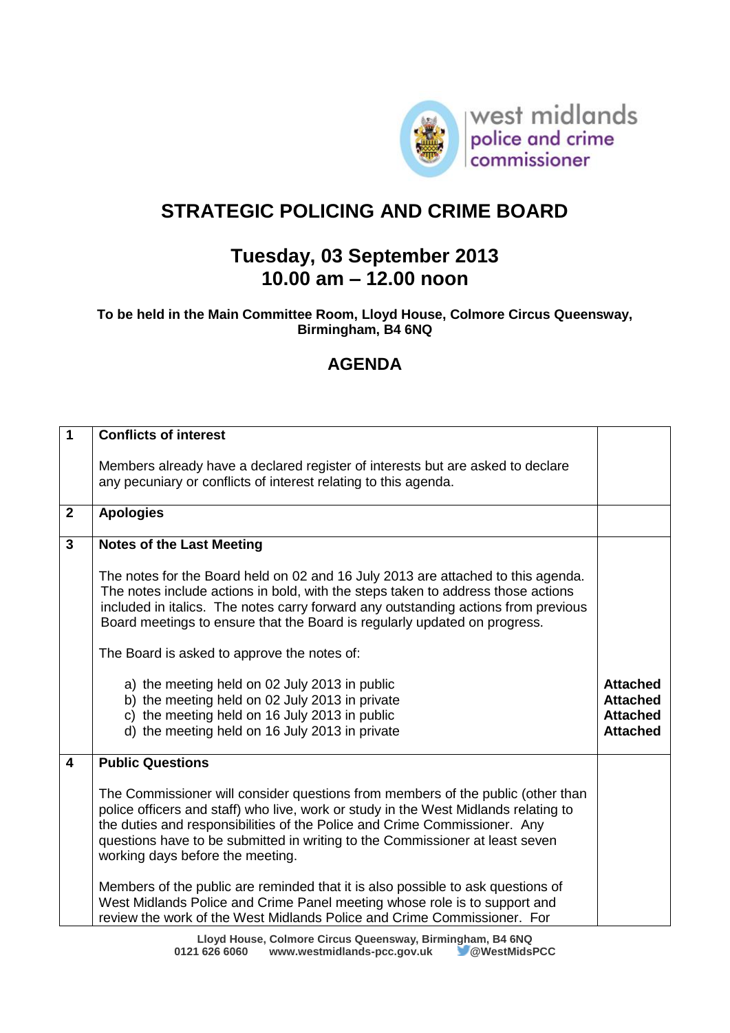

## **STRATEGIC POLICING AND CRIME BOARD**

## **Tuesday, 03 September 2013 10.00 am – 12.00 noon**

**To be held in the Main Committee Room, Lloyd House, Colmore Circus Queensway, Birmingham, B4 6NQ**

## **AGENDA**

| $\blacktriangleleft$ | <b>Conflicts of interest</b>                                                                                                                                                                                                                                                                                                                                                           |                                                                          |
|----------------------|----------------------------------------------------------------------------------------------------------------------------------------------------------------------------------------------------------------------------------------------------------------------------------------------------------------------------------------------------------------------------------------|--------------------------------------------------------------------------|
|                      | Members already have a declared register of interests but are asked to declare<br>any pecuniary or conflicts of interest relating to this agenda.                                                                                                                                                                                                                                      |                                                                          |
| $\overline{2}$       | <b>Apologies</b>                                                                                                                                                                                                                                                                                                                                                                       |                                                                          |
| $\mathbf{3}$         | <b>Notes of the Last Meeting</b>                                                                                                                                                                                                                                                                                                                                                       |                                                                          |
|                      | The notes for the Board held on 02 and 16 July 2013 are attached to this agenda.<br>The notes include actions in bold, with the steps taken to address those actions<br>included in italics. The notes carry forward any outstanding actions from previous<br>Board meetings to ensure that the Board is regularly updated on progress.<br>The Board is asked to approve the notes of: |                                                                          |
|                      | a) the meeting held on 02 July 2013 in public<br>b) the meeting held on 02 July 2013 in private<br>c) the meeting held on 16 July 2013 in public<br>d) the meeting held on 16 July 2013 in private                                                                                                                                                                                     | <b>Attached</b><br><b>Attached</b><br><b>Attached</b><br><b>Attached</b> |
| 4                    | <b>Public Questions</b>                                                                                                                                                                                                                                                                                                                                                                |                                                                          |
|                      | The Commissioner will consider questions from members of the public (other than<br>police officers and staff) who live, work or study in the West Midlands relating to<br>the duties and responsibilities of the Police and Crime Commissioner. Any<br>questions have to be submitted in writing to the Commissioner at least seven<br>working days before the meeting.                |                                                                          |
|                      | Members of the public are reminded that it is also possible to ask questions of<br>West Midlands Police and Crime Panel meeting whose role is to support and<br>review the work of the West Midlands Police and Crime Commissioner. For                                                                                                                                                |                                                                          |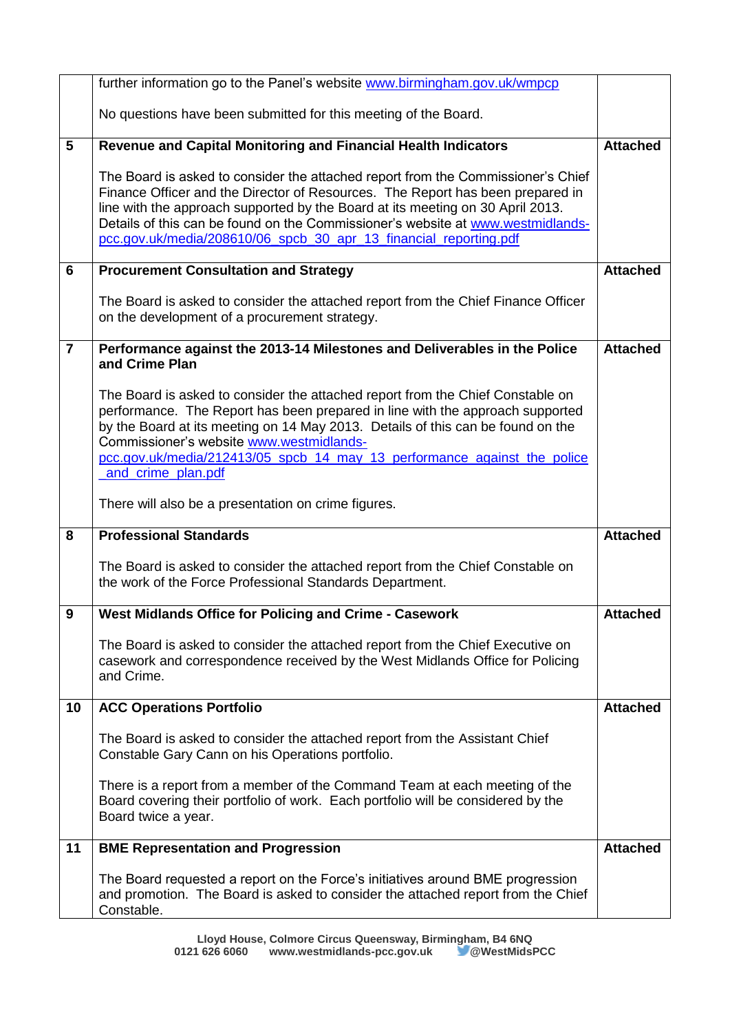|                | further information go to the Panel's website www.birmingham.gov.uk/wmpcp                                                                                                                                                                                                                                                                                                                                    |                 |
|----------------|--------------------------------------------------------------------------------------------------------------------------------------------------------------------------------------------------------------------------------------------------------------------------------------------------------------------------------------------------------------------------------------------------------------|-----------------|
|                | No questions have been submitted for this meeting of the Board.                                                                                                                                                                                                                                                                                                                                              |                 |
| 5              | Revenue and Capital Monitoring and Financial Health Indicators                                                                                                                                                                                                                                                                                                                                               | <b>Attached</b> |
|                | The Board is asked to consider the attached report from the Commissioner's Chief<br>Finance Officer and the Director of Resources. The Report has been prepared in<br>line with the approach supported by the Board at its meeting on 30 April 2013.<br>Details of this can be found on the Commissioner's website at www.westmidlands-<br>pcc.gov.uk/media/208610/06_spcb_30_apr_13_financial_reporting.pdf |                 |
| 6              | <b>Procurement Consultation and Strategy</b>                                                                                                                                                                                                                                                                                                                                                                 | <b>Attached</b> |
|                | The Board is asked to consider the attached report from the Chief Finance Officer<br>on the development of a procurement strategy.                                                                                                                                                                                                                                                                           |                 |
| $\overline{7}$ | Performance against the 2013-14 Milestones and Deliverables in the Police<br>and Crime Plan                                                                                                                                                                                                                                                                                                                  | <b>Attached</b> |
|                | The Board is asked to consider the attached report from the Chief Constable on<br>performance. The Report has been prepared in line with the approach supported<br>by the Board at its meeting on 14 May 2013. Details of this can be found on the<br>Commissioner's website www.westmidlands-<br>pcc.gov.uk/media/212413/05_spcb_14_may_13_performance_against_the_police<br>and crime plan.pdf             |                 |
|                | There will also be a presentation on crime figures.                                                                                                                                                                                                                                                                                                                                                          |                 |
| 8              | <b>Professional Standards</b>                                                                                                                                                                                                                                                                                                                                                                                | <b>Attached</b> |
|                | The Board is asked to consider the attached report from the Chief Constable on<br>the work of the Force Professional Standards Department.                                                                                                                                                                                                                                                                   |                 |
| 9              | West Midlands Office for Policing and Crime - Casework                                                                                                                                                                                                                                                                                                                                                       | <b>Attached</b> |
|                | The Board is asked to consider the attached report from the Chief Executive on<br>casework and correspondence received by the West Midlands Office for Policing<br>and Crime.                                                                                                                                                                                                                                |                 |
| 10             | <b>ACC Operations Portfolio</b>                                                                                                                                                                                                                                                                                                                                                                              | <b>Attached</b> |
|                | The Board is asked to consider the attached report from the Assistant Chief<br>Constable Gary Cann on his Operations portfolio.                                                                                                                                                                                                                                                                              |                 |
|                | There is a report from a member of the Command Team at each meeting of the<br>Board covering their portfolio of work. Each portfolio will be considered by the<br>Board twice a year.                                                                                                                                                                                                                        |                 |
| 11             | <b>BME Representation and Progression</b>                                                                                                                                                                                                                                                                                                                                                                    | <b>Attached</b> |
|                | The Board requested a report on the Force's initiatives around BME progression<br>and promotion. The Board is asked to consider the attached report from the Chief<br>Constable.                                                                                                                                                                                                                             |                 |